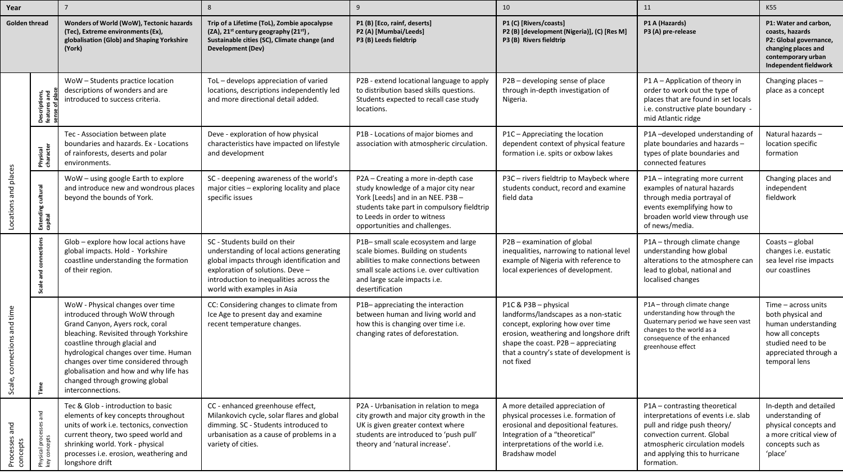| Year                        |                                                          |                                                                                                                                                                                                                                                                                                                                                                    | 8                                                                                                                                                                                                                                    | q                                                                                                                                                                                                                               | 10                                                                                                                                                                                                                                          | 11                                                                                                                                                                                                                  | K55                                                                                                                                                   |
|-----------------------------|----------------------------------------------------------|--------------------------------------------------------------------------------------------------------------------------------------------------------------------------------------------------------------------------------------------------------------------------------------------------------------------------------------------------------------------|--------------------------------------------------------------------------------------------------------------------------------------------------------------------------------------------------------------------------------------|---------------------------------------------------------------------------------------------------------------------------------------------------------------------------------------------------------------------------------|---------------------------------------------------------------------------------------------------------------------------------------------------------------------------------------------------------------------------------------------|---------------------------------------------------------------------------------------------------------------------------------------------------------------------------------------------------------------------|-------------------------------------------------------------------------------------------------------------------------------------------------------|
| <b>Golden thread</b>        |                                                          | Wonders of World (WoW), Tectonic hazards<br>(Tec), Extreme environments (Ex),<br>globalisation (Glob) and Shaping Yorkshire<br>(York)                                                                                                                                                                                                                              | Trip of a Lifetime (ToL), Zombie apocalypse<br>(ZA), $21^{st}$ century geography ( $21^{st}$ ),<br>Sustainable cities (SC), Climate change (and<br>Development (Dev)                                                                 | P1 (B) [Eco, rainf, deserts]<br>P2 (A) [Mumbai/Leeds]<br>P3 (B) Leeds fieldtrip                                                                                                                                                 | P1 (C) [Rivers/coasts]<br>P2 (B) [development (Nigeria)], (C) [Res M]<br>P3 (B) Rivers fieldtrip                                                                                                                                            | P1 A (Hazards)<br>P3 (A) pre-release                                                                                                                                                                                | P1: Water and carbon,<br>coasts, hazards<br>P2: Global governance,<br>changing places and<br>contemporary urban<br>Independent fieldwork              |
| Locations and places        | <b>Descriptions,<br/>features and<br/>sense of place</b> | WoW-Students practice location<br>descriptions of wonders and are<br>introduced to success criteria.                                                                                                                                                                                                                                                               | ToL - develops appreciation of varied<br>locations, descriptions independently led<br>and more directional detail added.                                                                                                             | P2B - extend locational language to apply<br>to distribution based skills questions.<br>Students expected to recall case study<br>locations.                                                                                    | P2B - developing sense of place<br>through in-depth investigation of<br>Nigeria.                                                                                                                                                            | P1 A - Application of theory in<br>order to work out the type of<br>places that are found in set locals<br>i.e. constructive plate boundary -<br>mid Atlantic ridge                                                 | Changing places -<br>place as a concept                                                                                                               |
|                             | Physical<br>character                                    | Tec - Association between plate<br>boundaries and hazards. Ex - Locations<br>of rainforests, deserts and polar<br>environments.                                                                                                                                                                                                                                    | Deve - exploration of how physical<br>characteristics have impacted on lifestyle<br>and development                                                                                                                                  | P1B - Locations of major biomes and<br>association with atmospheric circulation.                                                                                                                                                | P1C - Appreciating the location<br>dependent context of physical feature<br>formation i.e. spits or oxbow lakes                                                                                                                             | P1A-developed understanding of<br>plate boundaries and hazards -<br>types of plate boundaries and<br>connected features                                                                                             | Natural hazards-<br>location specific<br>formation                                                                                                    |
|                             | cultural<br>Extendi<br>capital                           | WoW - using google Earth to explore<br>and introduce new and wondrous places<br>beyond the bounds of York.                                                                                                                                                                                                                                                         | SC - deepening awareness of the world's<br>major cities - exploring locality and place<br>specific issues                                                                                                                            | P2A - Creating a more in-depth case<br>study knowledge of a major city near<br>York [Leeds] and in an NEE. P3B -<br>students take part in compulsory fieldtrip<br>to Leeds in order to witness<br>opportunities and challenges. | P3C - rivers fieldtrip to Maybeck where<br>students conduct, record and examine<br>field data                                                                                                                                               | P1A – integrating more current<br>examples of natural hazards<br>through media portrayal of<br>events exemplifying how to<br>broaden world view through use<br>of news/media.                                       | Changing places and<br>independent<br>fieldwork                                                                                                       |
| Scale, connections and time | ā<br>and<br>Scale                                        | Glob - explore how local actions have<br>global impacts. Hold - Yorkshire<br>coastline understanding the formation<br>of their region.                                                                                                                                                                                                                             | SC - Students build on their<br>understanding of local actions generating<br>global impacts through identification and<br>exploration of solutions. Deve -<br>introduction to inequalities across the<br>world with examples in Asia | P1B-small scale ecosystem and large<br>scale biomes. Building on students<br>abilities to make connections between<br>small scale actions i.e. over cultivation<br>and large scale impacts i.e.<br>desertification              | P2B - examination of global<br>inequalities, narrowing to national level<br>example of Nigeria with reference to<br>local experiences of development.                                                                                       | P1A - through climate change<br>understanding how global<br>alterations to the atmosphere can<br>lead to global, national and<br>localised changes                                                                  | Coasts - global<br>changes i.e. eustatic<br>sea level rise impacts<br>our coastlines                                                                  |
|                             | Time                                                     | WoW - Physical changes over time<br>introduced through WoW through<br>Grand Canyon, Ayers rock, coral<br>bleaching. Revisited through Yorkshire<br>coastline through glacial and<br>hydrological changes over time. Human<br>changes over time considered through<br>globalisation and how and why life has<br>changed through growing global<br>interconnections. | CC: Considering changes to climate from<br>Ice Age to present day and examine<br>recent temperature changes.                                                                                                                         | P1B-appreciating the interaction<br>between human and living world and<br>how this is changing over time i.e.<br>changing rates of deforestation.                                                                               | P1C & P3B - physical<br>landforms/landscapes as a non-static<br>concept, exploring how over time<br>erosion, weathering and longshore drift<br>shape the coast. P2B - appreciating<br>that a country's state of development is<br>not fixed | P1A - through climate change<br>understanding how through the<br>Quaternary period we have seen vast<br>changes to the world as a<br>consequence of the enhanced<br>greenhouse effect                               | Time $-$ across units<br>both physical and<br>human understanding<br>how all concepts<br>studied need to be<br>appreciated through a<br>temporal lens |
| Processes and<br>concepts   | ses and<br>Physical proces<br>key concepts               | Tec & Glob - introduction to basic<br>elements of key concepts throughout<br>units of work i.e. tectonics, convection<br>current theory, two speed world and<br>shrinking world. York - physical<br>processes i.e. erosion, weathering and<br>longshore drift                                                                                                      | CC - enhanced greenhouse effect,<br>Milankovich cycle, solar flares and global<br>dimming. SC - Students introduced to<br>urbanisation as a cause of problems in a<br>variety of cities.                                             | P2A - Urbanisation in relation to mega<br>city growth and major city growth in the<br>UK is given greater context where<br>students are introduced to 'push pull'<br>theory and 'natural increase'.                             | A more detailed appreciation of<br>physical processes i.e. formation of<br>erosional and depositional features.<br>Integration of a "theoretical"<br>interpretations of the world i.e.<br>Bradshaw model                                    | P1A - contrasting theoretical<br>interpretations of events i.e. slab<br>pull and ridge push theory/<br>convection current. Global<br>atmospheric circulation models<br>and applying this to hurricane<br>formation. | In-depth and detailed<br>understanding of<br>physical concepts and<br>a more critical view of<br>concepts such as<br>'place'                          |